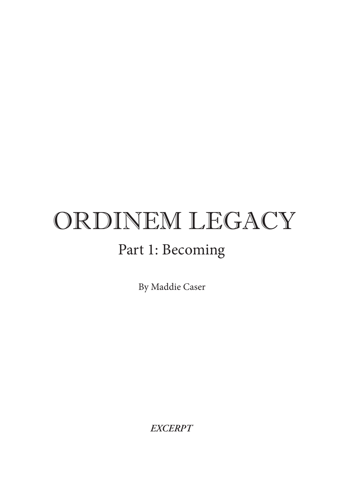## ORDINEM LEGACY Part 1: Becoming

By Maddie Caser

*EXCERPT*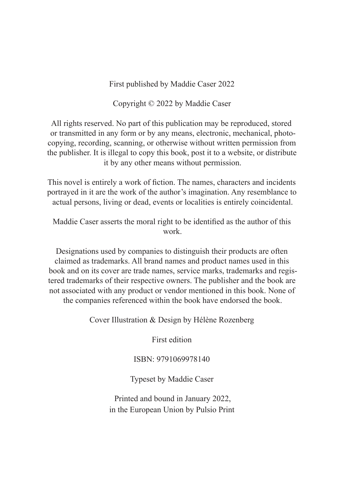First published by Maddie Caser 2022

Copyright © 2022 by Maddie Caser

All rights reserved. No part of this publication may be reproduced, stored or transmitted in any form or by any means, electronic, mechanical, photocopying, recording, scanning, or otherwise without written permission from the publisher. It is illegal to copy this book, post it to a website, or distribute it by any other means without permission.

This novel is entirely a work of fiction. The names, characters and incidents portrayed in it are the work of the author's imagination. Any resemblance to actual persons, living or dead, events or localities is entirely coincidental.

Maddie Caser asserts the moral right to be identified as the author of this work.

Designations used by companies to distinguish their products are often claimed as trademarks. All brand names and product names used in this book and on its cover are trade names, service marks, trademarks and registered trademarks of their respective owners. The publisher and the book are not associated with any product or vendor mentioned in this book. None of the companies referenced within the book have endorsed the book.

Cover Illustration & Design by Hélène Rozenberg

First edition

ISBN: 9791069978140

Typeset by Maddie Caser

Printed and bound in January 2022, in the European Union by Pulsio Print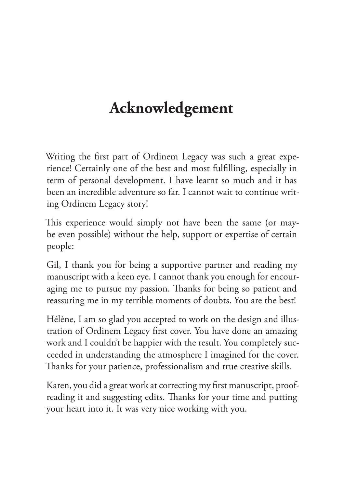## **Acknowledgement**

Writing the first part of Ordinem Legacy was such a great experience! Certainly one of the best and most fulfilling, especially in term of personal development. I have learnt so much and it has been an incredible adventure so far. I cannot wait to continue writing Ordinem Legacy story!

This experience would simply not have been the same (or maybe even possible) without the help, support or expertise of certain people:

Gil, I thank you for being a supportive partner and reading my manuscript with a keen eye. I cannot thank you enough for encouraging me to pursue my passion. Thanks for being so patient and reassuring me in my terrible moments of doubts. You are the best!

Hélène, I am so glad you accepted to work on the design and illustration of Ordinem Legacy first cover. You have done an amazing work and I couldn't be happier with the result. You completely succeeded in understanding the atmosphere I imagined for the cover. Thanks for your patience, professionalism and true creative skills.

Karen, you did a great work at correcting my first manuscript, proofreading it and suggesting edits. Thanks for your time and putting your heart into it. It was very nice working with you.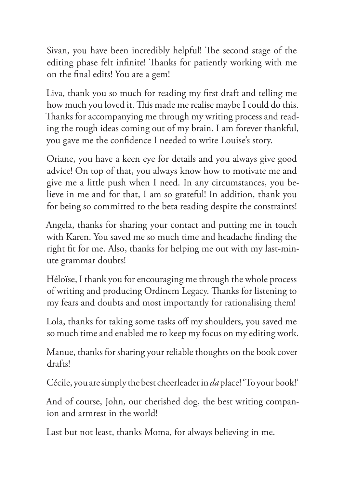Sivan, you have been incredibly helpful! The second stage of the editing phase felt infinite! Thanks for patiently working with me on the final edits! You are a gem!

Liva, thank you so much for reading my first draft and telling me how much you loved it. This made me realise maybe I could do this. Thanks for accompanying me through my writing process and reading the rough ideas coming out of my brain. I am forever thankful, you gave me the confidence I needed to write Louise's story.

Oriane, you have a keen eye for details and you always give good advice! On top of that, you always know how to motivate me and give me a little push when I need. In any circumstances, you believe in me and for that, I am so grateful! In addition, thank you for being so committed to the beta reading despite the constraints!

Angela, thanks for sharing your contact and putting me in touch with Karen. You saved me so much time and headache finding the right fit for me. Also, thanks for helping me out with my last-minute grammar doubts!

Héloïse, I thank you for encouraging me through the whole process of writing and producing Ordinem Legacy. Thanks for listening to my fears and doubts and most importantly for rationalising them!

Lola, thanks for taking some tasks off my shoulders, you saved me so much time and enabled me to keep my focus on my editing work.

Manue, thanks for sharing your reliable thoughts on the book cover drafts!

Cécile, you are simply the best cheerleader in *da* place! 'To your book!'

And of course, John, our cherished dog, the best writing companion and armrest in the world!

Last but not least, thanks Moma, for always believing in me.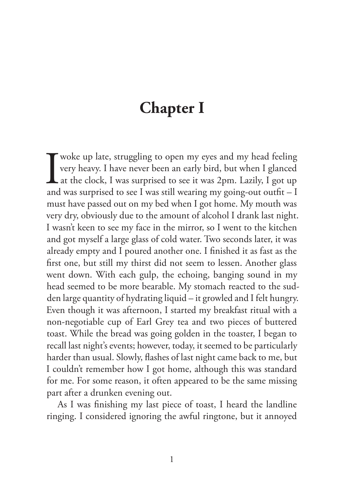## **Chapter I**

Woke up late, struggling to open my eyes and my head feeling<br>very heavy. I have never been an early bird, but when I glanced<br>at the clock, I was surprised to see it was 2pm. Lazily, I got up<br>and was surprised to see I was very heavy. I have never been an early bird, but when I glanced at the clock, I was surprised to see it was 2pm. Lazily, I got up and was surprised to see I was still wearing my going-out outfit  $-I$ must have passed out on my bed when I got home. My mouth was very dry, obviously due to the amount of alcohol I drank last night. I wasn't keen to see my face in the mirror, so I went to the kitchen and got myself a large glass of cold water. Two seconds later, it was already empty and I poured another one. I finished it as fast as the first one, but still my thirst did not seem to lessen. Another glass went down. With each gulp, the echoing, banging sound in my head seemed to be more bearable. My stomach reacted to the sudden large quantity of hydrating liquid – it growled and I felt hungry. Even though it was afternoon, I started my breakfast ritual with a non-negotiable cup of Earl Grey tea and two pieces of buttered toast. While the bread was going golden in the toaster, I began to recall last night's events; however, today, it seemed to be particularly harder than usual. Slowly, flashes of last night came back to me, but I couldn't remember how I got home, although this was standard for me. For some reason, it often appeared to be the same missing part after a drunken evening out.

As I was finishing my last piece of toast, I heard the landline ringing. I considered ignoring the awful ringtone, but it annoyed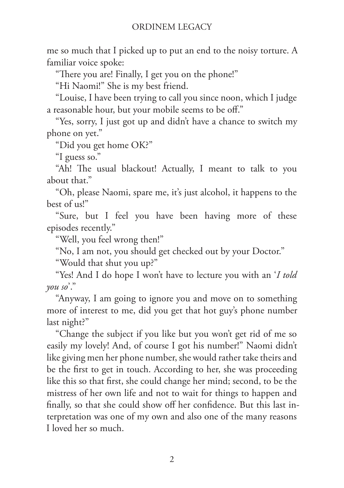me so much that I picked up to put an end to the noisy torture. A familiar voice spoke:

"There you are! Finally, I get you on the phone!"

"Hi Naomi!" She is my best friend.

"Louise, I have been trying to call you since noon, which I judge a reasonable hour, but your mobile seems to be off."

"Yes, sorry, I just got up and didn't have a chance to switch my phone on yet."

"Did you get home OK?"

"I guess so."

"Ah! The usual blackout! Actually, I meant to talk to you about that."

"Oh, please Naomi, spare me, it's just alcohol, it happens to the best of us!"

"Sure, but I feel you have been having more of these episodes recently."

"Well, you feel wrong then!"

"No, I am not, you should get checked out by your Doctor."

"Would that shut you up?"

"Yes! And I do hope I won't have to lecture you with an '*I told you so*'."

"Anyway, I am going to ignore you and move on to something more of interest to me, did you get that hot guy's phone number last night?"

"Change the subject if you like but you won't get rid of me so easily my lovely! And, of course I got his number!" Naomi didn't like giving men her phone number, she would rather take theirs and be the first to get in touch. According to her, she was proceeding like this so that first, she could change her mind; second, to be the mistress of her own life and not to wait for things to happen and finally, so that she could show off her confidence. But this last interpretation was one of my own and also one of the many reasons I loved her so much.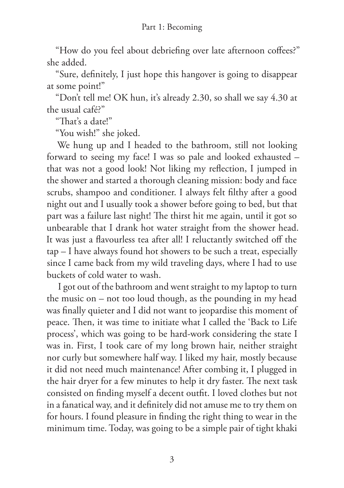"How do you feel about debriefing over late afternoon coffees?" she added.

"Sure, definitely, I just hope this hangover is going to disappear at some point!"

"Don't tell me! OK hun, it's already 2.30, so shall we say 4.30 at the usual café?"

"That's a date!"

"You wish!" she joked.

We hung up and I headed to the bathroom, still not looking forward to seeing my face! I was so pale and looked exhausted – that was not a good look! Not liking my reflection, I jumped in the shower and started a thorough cleaning mission: body and face scrubs, shampoo and conditioner. I always felt filthy after a good night out and I usually took a shower before going to bed, but that part was a failure last night! The thirst hit me again, until it got so unbearable that I drank hot water straight from the shower head. It was just a flavourless tea after all! I reluctantly switched off the tap – I have always found hot showers to be such a treat, especially since I came back from my wild traveling days, where I had to use buckets of cold water to wash.

I got out of the bathroom and went straight to my laptop to turn the music on – not too loud though, as the pounding in my head was finally quieter and I did not want to jeopardise this moment of peace. Then, it was time to initiate what I called the 'Back to Life process', which was going to be hard-work considering the state I was in. First, I took care of my long brown hair, neither straight nor curly but somewhere half way. I liked my hair, mostly because it did not need much maintenance! After combing it, I plugged in the hair dryer for a few minutes to help it dry faster. The next task consisted on finding myself a decent outfit. I loved clothes but not in a fanatical way, and it definitely did not amuse me to try them on for hours. I found pleasure in finding the right thing to wear in the minimum time. Today, was going to be a simple pair of tight khaki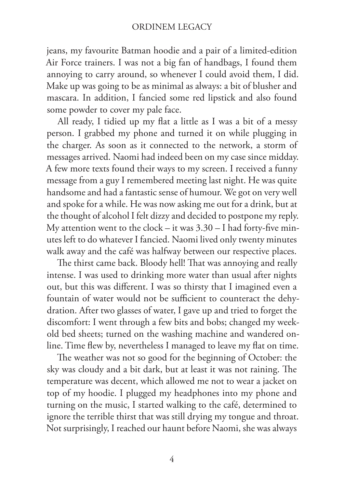jeans, my favourite Batman hoodie and a pair of a limited-edition Air Force trainers. I was not a big fan of handbags, I found them annoying to carry around, so whenever I could avoid them, I did. Make up was going to be as minimal as always: a bit of blusher and mascara. In addition, I fancied some red lipstick and also found some powder to cover my pale face.

All ready, I tidied up my flat a little as I was a bit of a messy person. I grabbed my phone and turned it on while plugging in the charger. As soon as it connected to the network, a storm of messages arrived. Naomi had indeed been on my case since midday. A few more texts found their ways to my screen. I received a funny message from a guy I remembered meeting last night. He was quite handsome and had a fantastic sense of humour. We got on very well and spoke for a while. He was now asking me out for a drink, but at the thought of alcohol I felt dizzy and decided to postpone my reply. My attention went to the clock – it was  $3.30 - I$  had forty-five minutes left to do whatever I fancied. Naomi lived only twenty minutes walk away and the café was halfway between our respective places.

The thirst came back. Bloody hell! That was annoying and really intense. I was used to drinking more water than usual after nights out, but this was different. I was so thirsty that I imagined even a fountain of water would not be sufficient to counteract the dehydration. After two glasses of water, I gave up and tried to forget the discomfort: I went through a few bits and bobs; changed my weekold bed sheets; turned on the washing machine and wandered online. Time flew by, nevertheless I managed to leave my flat on time.

The weather was not so good for the beginning of October: the sky was cloudy and a bit dark, but at least it was not raining. The temperature was decent, which allowed me not to wear a jacket on top of my hoodie. I plugged my headphones into my phone and turning on the music, I started walking to the café, determined to ignore the terrible thirst that was still drying my tongue and throat. Not surprisingly, I reached our haunt before Naomi, she was always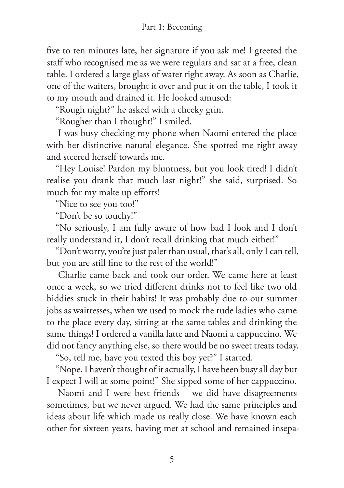five to ten minutes late, her signature if you ask me! I greeted the staff who recognised me as we were regulars and sat at a free, clean table. I ordered a large glass of water right away. As soon as Charlie, one of the waiters, brought it over and put it on the table, I took it to my mouth and drained it. He looked amused:

"Rough night?" he asked with a cheeky grin.

"Rougher than I thought!" I smiled.

I was busy checking my phone when Naomi entered the place with her distinctive natural elegance. She spotted me right away and steered herself towards me.

"Hey Louise! Pardon my bluntness, but you look tired! I didn't realise you drank that much last night!" she said, surprised. So much for my make up efforts!

"Nice to see you too!"

"Don't be so touchy!"

"No seriously, I am fully aware of how bad I look and I don't really understand it, I don't recall drinking that much either!"

"Don't worry, you're just paler than usual, that's all, only I can tell, but you are still fine to the rest of the world!"

Charlie came back and took our order. We came here at least once a week, so we tried different drinks not to feel like two old biddies stuck in their habits! It was probably due to our summer jobs as waitresses, when we used to mock the rude ladies who came to the place every day, sitting at the same tables and drinking the same things! I ordered a vanilla latte and Naomi a cappuccino. We did not fancy anything else, so there would be no sweet treats today.

"So, tell me, have you texted this boy yet?" I started.

"Nope, I haven't thought of it actually, I have been busy all day but I expect I will at some point!" She sipped some of her cappuccino.

Naomi and I were best friends – we did have disagreements sometimes, but we never argued. We had the same principles and ideas about life which made us really close. We have known each other for sixteen years, having met at school and remained insepa-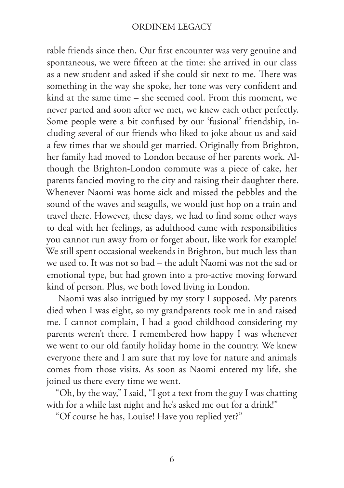rable friends since then. Our first encounter was very genuine and spontaneous, we were fifteen at the time: she arrived in our class as a new student and asked if she could sit next to me. There was something in the way she spoke, her tone was very confident and kind at the same time – she seemed cool. From this moment, we never parted and soon after we met, we knew each other perfectly. Some people were a bit confused by our 'fusional' friendship, including several of our friends who liked to joke about us and said a few times that we should get married. Originally from Brighton, her family had moved to London because of her parents work. Although the Brighton-London commute was a piece of cake, her parents fancied moving to the city and raising their daughter there. Whenever Naomi was home sick and missed the pebbles and the sound of the waves and seagulls, we would just hop on a train and travel there. However, these days, we had to find some other ways to deal with her feelings, as adulthood came with responsibilities you cannot run away from or forget about, like work for example! We still spent occasional weekends in Brighton, but much less than we used to. It was not so bad – the adult Naomi was not the sad or emotional type, but had grown into a pro-active moving forward kind of person. Plus, we both loved living in London.

Naomi was also intrigued by my story I supposed. My parents died when I was eight, so my grandparents took me in and raised me. I cannot complain, I had a good childhood considering my parents weren't there. I remembered how happy I was whenever we went to our old family holiday home in the country. We knew everyone there and I am sure that my love for nature and animals comes from those visits. As soon as Naomi entered my life, she joined us there every time we went.

"Oh, by the way," I said, "I got a text from the guy I was chatting with for a while last night and he's asked me out for a drink!"

"Of course he has, Louise! Have you replied yet?"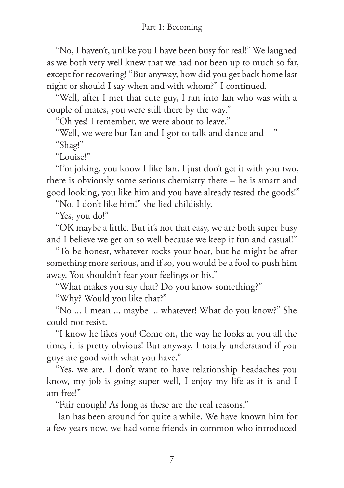"No, I haven't, unlike you I have been busy for real!" We laughed as we both very well knew that we had not been up to much so far, except for recovering! "But anyway, how did you get back home last night or should I say when and with whom?" I continued.

"Well, after I met that cute guy, I ran into Ian who was with a couple of mates, you were still there by the way."

"Oh yes! I remember, we were about to leave."

"Well, we were but Ian and I got to talk and dance and—"

"Shag!"

"Louise!"

"I'm joking, you know I like Ian. I just don't get it with you two, there is obviously some serious chemistry there – he is smart and good looking, you like him and you have already tested the goods!"

"No, I don't like him!" she lied childishly.

"Yes, you do!"

"OK maybe a little. But it's not that easy, we are both super busy and I believe we get on so well because we keep it fun and casual!"

"To be honest, whatever rocks your boat, but he might be after something more serious, and if so, you would be a fool to push him away. You shouldn't fear your feelings or his."

"What makes you say that? Do you know something?"

"Why? Would you like that?"

"No ... I mean ... maybe ... whatever! What do you know?" She could not resist.

"I know he likes you! Come on, the way he looks at you all the time, it is pretty obvious! But anyway, I totally understand if you guys are good with what you have."

"Yes, we are. I don't want to have relationship headaches you know, my job is going super well, I enjoy my life as it is and I am free!"

"Fair enough! As long as these are the real reasons."

Ian has been around for quite a while. We have known him for a few years now, we had some friends in common who introduced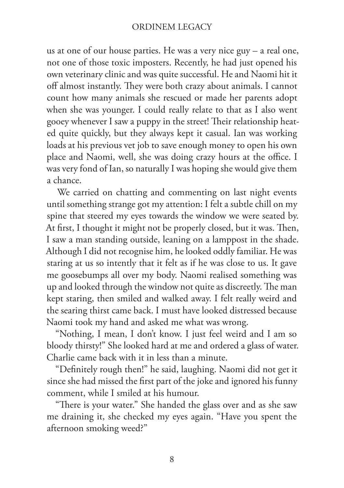us at one of our house parties. He was a very nice guy – a real one, not one of those toxic imposters. Recently, he had just opened his own veterinary clinic and was quite successful. He and Naomi hit it off almost instantly. They were both crazy about animals. I cannot count how many animals she rescued or made her parents adopt when she was younger. I could really relate to that as I also went gooey whenever I saw a puppy in the street! Their relationship heated quite quickly, but they always kept it casual. Ian was working loads at his previous vet job to save enough money to open his own place and Naomi, well, she was doing crazy hours at the office. I was very fond of Ian, so naturally I was hoping she would give them a chance.

We carried on chatting and commenting on last night events until something strange got my attention: I felt a subtle chill on my spine that steered my eyes towards the window we were seated by. At first, I thought it might not be properly closed, but it was. Then, I saw a man standing outside, leaning on a lamppost in the shade. Although I did not recognise him, he looked oddly familiar. He was staring at us so intently that it felt as if he was close to us. It gave me goosebumps all over my body. Naomi realised something was up and looked through the window not quite as discreetly. The man kept staring, then smiled and walked away. I felt really weird and the searing thirst came back. I must have looked distressed because Naomi took my hand and asked me what was wrong.

"Nothing, I mean, I don't know. I just feel weird and I am so bloody thirsty!" She looked hard at me and ordered a glass of water. Charlie came back with it in less than a minute.

"Definitely rough then!" he said, laughing. Naomi did not get it since she had missed the first part of the joke and ignored his funny comment, while I smiled at his humour.

"There is your water." She handed the glass over and as she saw me draining it, she checked my eyes again. "Have you spent the afternoon smoking weed?"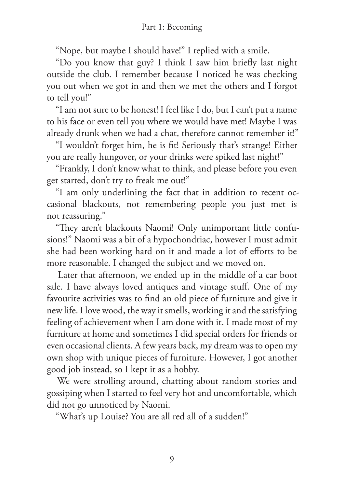"Nope, but maybe I should have!" I replied with a smile.

"Do you know that guy? I think I saw him briefly last night outside the club. I remember because I noticed he was checking you out when we got in and then we met the others and I forgot to tell you!"

"I am not sure to be honest! I feel like I do, but I can't put a name to his face or even tell you where we would have met! Maybe I was already drunk when we had a chat, therefore cannot remember it!"

"I wouldn't forget him, he is fit! Seriously that's strange! Either you are really hungover, or your drinks were spiked last night!"

"Frankly, I don't know what to think, and please before you even get started, don't try to freak me out!"

"I am only underlining the fact that in addition to recent occasional blackouts, not remembering people you just met is not reassuring."

"They aren't blackouts Naomi! Only unimportant little confusions!" Naomi was a bit of a hypochondriac, however I must admit she had been working hard on it and made a lot of efforts to be more reasonable. I changed the subject and we moved on.

Later that afternoon, we ended up in the middle of a car boot sale. I have always loved antiques and vintage stuff. One of my favourite activities was to find an old piece of furniture and give it new life. I love wood, the way it smells, working it and the satisfying feeling of achievement when I am done with it. I made most of my furniture at home and sometimes I did special orders for friends or even occasional clients. A few years back, my dream was to open my own shop with unique pieces of furniture. However, I got another good job instead, so I kept it as a hobby.

We were strolling around, chatting about random stories and gossiping when I started to feel very hot and uncomfortable, which did not go unnoticed by Naomi.

"What's up Louise? You are all red all of a sudden!"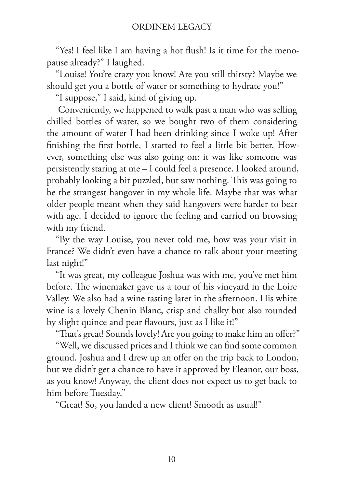"Yes! I feel like I am having a hot flush! Is it time for the menopause already?" I laughed.

"Louise! You're crazy you know! Are you still thirsty? Maybe we should get you a bottle of water or something to hydrate you!"

"I suppose," I said, kind of giving up.

Conveniently, we happened to walk past a man who was selling chilled bottles of water, so we bought two of them considering the amount of water I had been drinking since I woke up! After finishing the first bottle, I started to feel a little bit better. However, something else was also going on: it was like someone was persistently staring at me – I could feel a presence. I looked around, probably looking a bit puzzled, but saw nothing. This was going to be the strangest hangover in my whole life. Maybe that was what older people meant when they said hangovers were harder to bear with age. I decided to ignore the feeling and carried on browsing with my friend.

"By the way Louise, you never told me, how was your visit in France? We didn't even have a chance to talk about your meeting last night!"

"It was great, my colleague Joshua was with me, you've met him before. The winemaker gave us a tour of his vineyard in the Loire Valley. We also had a wine tasting later in the afternoon. His white wine is a lovely Chenin Blanc, crisp and chalky but also rounded by slight quince and pear flavours, just as I like it!"

"That's great! Sounds lovely! Are you going to make him an offer?"

"Well, we discussed prices and I think we can find some common ground. Joshua and I drew up an offer on the trip back to London, but we didn't get a chance to have it approved by Eleanor, our boss, as you know! Anyway, the client does not expect us to get back to him before Tuesday."

"Great! So, you landed a new client! Smooth as usual!"